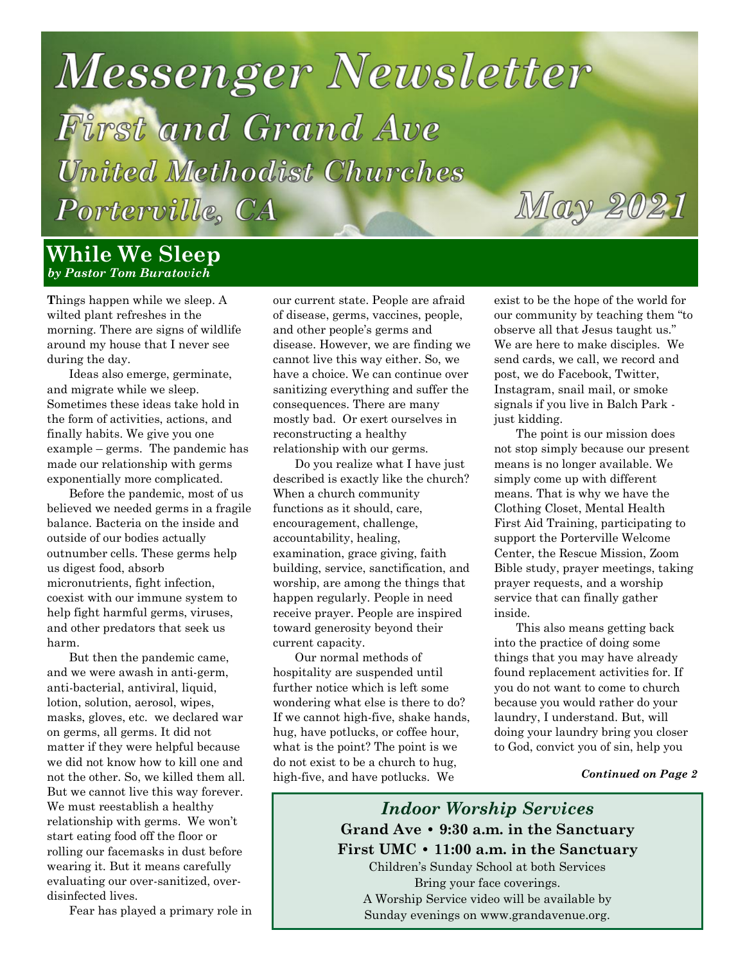## **Messenger Newsletter** First and Grand Ave **United Methodist Churches** May 2021 Porterville, CA

#### **While We Sleep** *by Pastor Tom Buratovich*

**T**hings happen while we sleep. A wilted plant refreshes in the morning. There are signs of wildlife around my house that I never see during the day.

Ideas also emerge, germinate, and migrate while we sleep. Sometimes these ideas take hold in the form of activities, actions, and finally habits. We give you one example – germs. The pandemic has made our relationship with germs exponentially more complicated.

Before the pandemic, most of us believed we needed germs in a fragile balance. Bacteria on the inside and outside of our bodies actually outnumber cells. These germs help us digest food, absorb micronutrients, fight infection, coexist with our immune system to help fight harmful germs, viruses, and other predators that seek us harm.

But then the pandemic came, and we were awash in anti-germ, anti-bacterial, antiviral, liquid, lotion, solution, aerosol, wipes, masks, gloves, etc. we declared war on germs, all germs. It did not matter if they were helpful because we did not know how to kill one and not the other. So, we killed them all. But we cannot live this way forever. We must reestablish a healthy relationship with germs. We won't start eating food off the floor or rolling our facemasks in dust before wearing it. But it means carefully evaluating our over-sanitized, overdisinfected lives.

Fear has played a primary role in

our current state. People are afraid of disease, germs, vaccines, people, and other people's germs and disease. However, we are finding we cannot live this way either. So, we have a choice. We can continue over sanitizing everything and suffer the consequences. There are many mostly bad. Or exert ourselves in reconstructing a healthy relationship with our germs.

Do you realize what I have just described is exactly like the church? When a church community functions as it should, care, encouragement, challenge, accountability, healing, examination, grace giving, faith building, service, sanctification, and worship, are among the things that happen regularly. People in need receive prayer. People are inspired toward generosity beyond their current capacity.

Our normal methods of hospitality are suspended until further notice which is left some wondering what else is there to do? If we cannot high-five, shake hands, hug, have potlucks, or coffee hour, what is the point? The point is we do not exist to be a church to hug, high-five, and have potlucks. We

exist to be the hope of the world for our community by teaching them "to observe all that Jesus taught us." We are here to make disciples. We send cards, we call, we record and post, we do Facebook, Twitter, Instagram, snail mail, or smoke signals if you live in Balch Park just kidding.

The point is our mission does not stop simply because our present means is no longer available. We simply come up with different means. That is why we have the Clothing Closet, Mental Health First Aid Training, participating to support the Porterville Welcome Center, the Rescue Mission, Zoom Bible study, prayer meetings, taking prayer requests, and a worship service that can finally gather inside.

This also means getting back into the practice of doing some things that you may have already found replacement activities for. If you do not want to come to church because you would rather do your laundry, I understand. But, will doing your laundry bring you closer to God, convict you of sin, help you

#### *Continued on Page 2*

*Indoor Worship Services* **Grand Ave • 9:30 a.m. in the Sanctuary First UMC • 11:00 a.m. in the Sanctuary** Children's Sunday School at both Services Bring your face coverings. A Worship Service video will be available by Sunday evenings on www.grandavenue.org.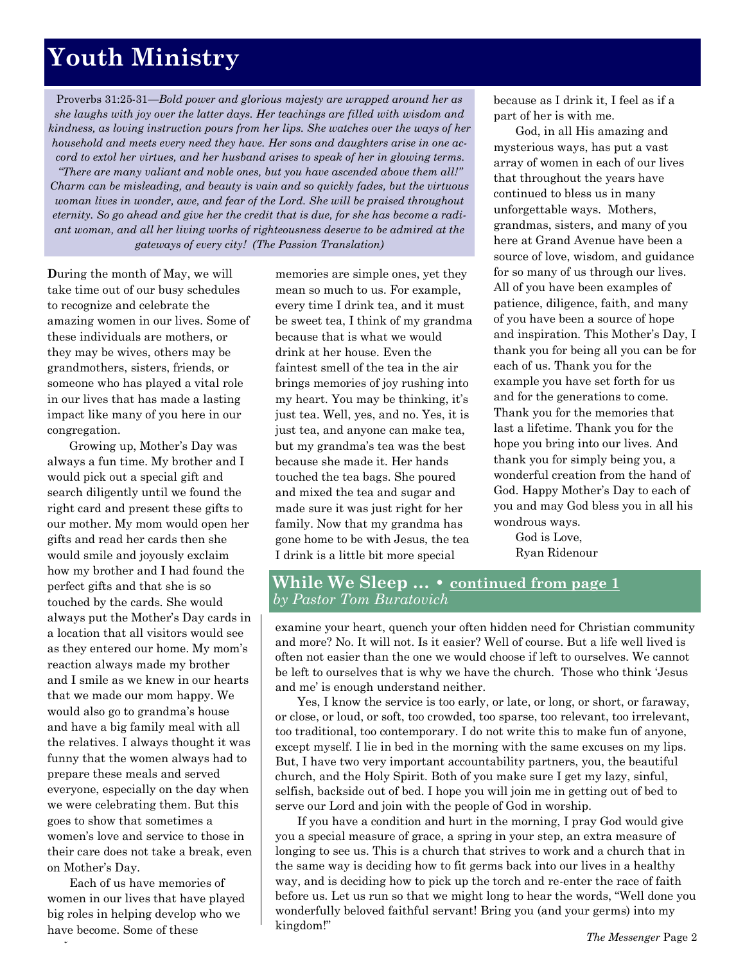## **Youth Ministry**

Proverbs 31:25-31—*Bold power and glorious majesty are wrapped around her as she laughs with joy over the latter days. Her teachings are filled with wisdom and kindness, as loving instruction pours from her lips. She watches over the ways of her household and meets every need they have. Her sons and daughters arise in one accord to extol her virtues, and her husband arises to speak of her in glowing terms. "There are many valiant and noble ones, but you have ascended above them all!" Charm can be misleading, and beauty is vain and so quickly fades, but the virtuous woman lives in wonder, awe, and fear of the Lord. She will be praised throughout* 

*eternity. So go ahead and give her the credit that is due, for she has become a radiant woman, and all her living works of righteousness deserve to be admired at the gateways of every city! (The Passion Translation)*

**D**uring the month of May, we will take time out of our busy schedules to recognize and celebrate the amazing women in our lives. Some of these individuals are mothers, or they may be wives, others may be grandmothers, sisters, friends, or someone who has played a vital role in our lives that has made a lasting impact like many of you here in our congregation.

Growing up, Mother's Day was always a fun time. My brother and I would pick out a special gift and search diligently until we found the right card and present these gifts to our mother. My mom would open her gifts and read her cards then she would smile and joyously exclaim how my brother and I had found the perfect gifts and that she is so touched by the cards. She would always put the Mother's Day cards in a location that all visitors would see as they entered our home. My mom's reaction always made my brother and I smile as we knew in our hearts that we made our mom happy. We would also go to grandma's house and have a big family meal with all the relatives. I always thought it was funny that the women always had to prepare these meals and served everyone, especially on the day when we were celebrating them. But this goes to show that sometimes a women's love and service to those in their care does not take a break, even on Mother's Day.

Each of us have memories of women in our lives that have played big roles in helping develop who we have become. Some of these

memories are simple ones, yet they mean so much to us. For example, every time I drink tea, and it must be sweet tea, I think of my grandma because that is what we would drink at her house. Even the faintest smell of the tea in the air brings memories of joy rushing into my heart. You may be thinking, it's just tea. Well, yes, and no. Yes, it is just tea, and anyone can make tea, but my grandma's tea was the best because she made it. Her hands touched the tea bags. She poured and mixed the tea and sugar and made sure it was just right for her family. Now that my grandma has gone home to be with Jesus, the tea I drink is a little bit more special

because as I drink it, I feel as if a part of her is with me.

God, in all His amazing and mysterious ways, has put a vast array of women in each of our lives that throughout the years have continued to bless us in many unforgettable ways. Mothers, grandmas, sisters, and many of you here at Grand Avenue have been a source of love, wisdom, and guidance for so many of us through our lives. All of you have been examples of patience, diligence, faith, and many of you have been a source of hope and inspiration. This Mother's Day, I thank you for being all you can be for each of us. Thank you for the example you have set forth for us and for the generations to come. Thank you for the memories that last a lifetime. Thank you for the hope you bring into our lives. And thank you for simply being you, a wonderful creation from the hand of God. Happy Mother's Day to each of you and may God bless you in all his wondrous ways.

God is Love, Ryan Ridenour

#### **While We Sleep … • continued from page 1** *by Pastor Tom Buratovich*

examine your heart, quench your often hidden need for Christian community and more? No. It will not. Is it easier? Well of course. But a life well lived is often not easier than the one we would choose if left to ourselves. We cannot be left to ourselves that is why we have the church. Those who think 'Jesus and me' is enough understand neither.

Yes, I know the service is too early, or late, or long, or short, or faraway, or close, or loud, or soft, too crowded, too sparse, too relevant, too irrelevant, too traditional, too contemporary. I do not write this to make fun of anyone, except myself. I lie in bed in the morning with the same excuses on my lips. But, I have two very important accountability partners, you, the beautiful church, and the Holy Spirit. Both of you make sure I get my lazy, sinful, selfish, backside out of bed. I hope you will join me in getting out of bed to serve our Lord and join with the people of God in worship.

If you have a condition and hurt in the morning, I pray God would give you a special measure of grace, a spring in your step, an extra measure of longing to see us. This is a church that strives to work and a church that in the same way is deciding how to fit germs back into our lives in a healthy way, and is deciding how to pick up the torch and re-enter the race of faith before us. Let us run so that we might long to hear the words, "Well done you wonderfully beloved faithful servant! Bring you (and your germs) into my kingdom!"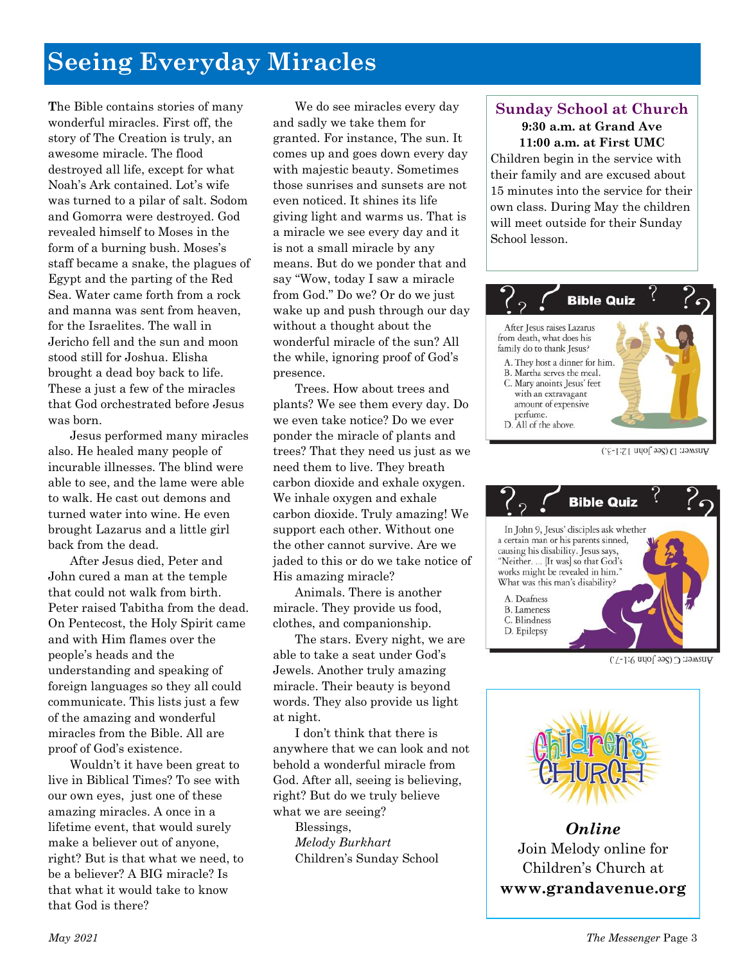## **Seeing Everyday Miracles**

**T**he Bible contains stories of many wonderful miracles. First off, the story of The Creation is truly, an awesome miracle. The flood destroyed all life, except for what Noah's Ark contained. Lot's wife was turned to a pilar of salt. Sodom and Gomorra were destroyed. God revealed himself to Moses in the form of a burning bush. Moses's staff became a snake, the plagues of Egypt and the parting of the Red Sea. Water came forth from a rock and manna was sent from heaven, for the Israelites. The wall in Jericho fell and the sun and moon stood still for Joshua. Elisha brought a dead boy back to life. These a just a few of the miracles that God orchestrated before Jesus was born.

Jesus performed many miracles also. He healed many people of incurable illnesses. The blind were able to see, and the lame were able to walk. He cast out demons and turned water into wine. He even brought Lazarus and a little girl back from the dead.

After Jesus died, Peter and John cured a man at the temple that could not walk from birth. Peter raised Tabitha from the dead. On Pentecost, the Holy Spirit came and with Him flames over the people's heads and the understanding and speaking of foreign languages so they all could communicate. This lists just a few of the amazing and wonderful miracles from the Bible. All are proof of God's existence.

Wouldn't it have been great to live in Biblical Times? To see with our own eyes, just one of these amazing miracles. A once in a lifetime event, that would surely make a believer out of anyone, right? But is that what we need, to be a believer? A BIG miracle? Is that what it would take to know that God is there?

We do see miracles every day and sadly we take them for granted. For instance, The sun. It comes up and goes down every day with majestic beauty. Sometimes those sunrises and sunsets are not even noticed. It shines its life giving light and warms us. That is a miracle we see every day and it is not a small miracle by any means. But do we ponder that and say "Wow, today I saw a miracle from God." Do we? Or do we just wake up and push through our day without a thought about the wonderful miracle of the sun? All the while, ignoring proof of God's presence.

Trees. How about trees and plants? We see them every day. Do we even take notice? Do we ever ponder the miracle of plants and trees? That they need us just as we need them to live. They breath carbon dioxide and exhale oxygen. We inhale oxygen and exhale carbon dioxide. Truly amazing! We support each other. Without one the other cannot survive. Are we jaded to this or do we take notice of His amazing miracle?

Animals. There is another miracle. They provide us food, clothes, and companionship.

The stars. Every night, we are able to take a seat under God's Jewels. Another truly amazing miracle. Their beauty is beyond words. They also provide us light at night.

I don't think that there is anywhere that we can look and not behold a wonderful miracle from God. After all, seeing is believing, right? But do we truly believe what we are seeing?

Blessings, *Melody Burkhart* Children's Sunday School

#### **Sunday School at Church 9:30 a.m. at Grand Ave 11:00 a.m. at First UMC**

Children begin in the service with their family and are excused about 15 minutes into the service for their own class. During May the children will meet outside for their Sunday School lesson.



Answer: D (See John 12:1-3.)



Answer: C (See John 9:1-7.)



*Online* Join Melody online for Children's Church at **www[.grandavenue.org](http://grandavenue.org/)**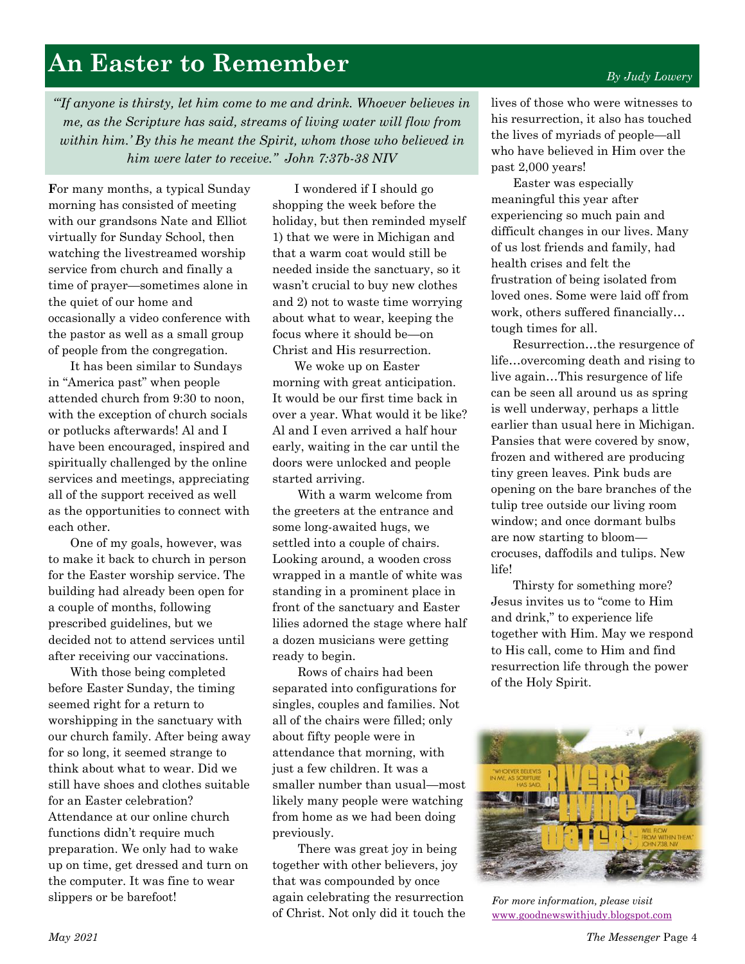## **An Easter to Remember**

#### *"'If anyone is thirsty, let him come to me and drink. Whoever believes in me, as the Scripture has said, streams of living water will flow from within him.' By this he meant the Spirit, whom those who believed in him were later to receive." John 7:37b-38 NIV*

**F**or many months, a typical Sunday morning has consisted of meeting with our grandsons Nate and Elliot virtually for Sunday School, then watching the livestreamed worship service from church and finally a time of prayer—sometimes alone in the quiet of our home and occasionally a video conference with the pastor as well as a small group of people from the congregation.

It has been similar to Sundays in "America past" when people attended church from 9:30 to noon, with the exception of church socials or potlucks afterwards! Al and I have been encouraged, inspired and spiritually challenged by the online services and meetings, appreciating all of the support received as well as the opportunities to connect with each other.

One of my goals, however, was to make it back to church in person for the Easter worship service. The building had already been open for a couple of months, following prescribed guidelines, but we decided not to attend services until after receiving our vaccinations.

With those being completed before Easter Sunday, the timing seemed right for a return to worshipping in the sanctuary with our church family. After being away for so long, it seemed strange to think about what to wear. Did we still have shoes and clothes suitable for an Easter celebration? Attendance at our online church functions didn't require much preparation. We only had to wake up on time, get dressed and turn on the computer. It was fine to wear slippers or be barefoot!

I wondered if I should go shopping the week before the holiday, but then reminded myself 1) that we were in Michigan and that a warm coat would still be needed inside the sanctuary, so it wasn't crucial to buy new clothes and 2) not to waste time worrying about what to wear, keeping the focus where it should be—on Christ and His resurrection.

We woke up on Easter morning with great anticipation. It would be our first time back in over a year. What would it be like? Al and I even arrived a half hour early, waiting in the car until the doors were unlocked and people started arriving.

With a warm welcome from the greeters at the entrance and some long-awaited hugs, we settled into a couple of chairs. Looking around, a wooden cross wrapped in a mantle of white was standing in a prominent place in front of the sanctuary and Easter lilies adorned the stage where half a dozen musicians were getting ready to begin.

Rows of chairs had been separated into configurations for singles, couples and families. Not all of the chairs were filled; only about fifty people were in attendance that morning, with just a few children. It was a smaller number than usual—most likely many people were watching from home as we had been doing previously.

There was great joy in being together with other believers, joy that was compounded by once again celebrating the resurrection of Christ. Not only did it touch the lives of those who were witnesses to his resurrection, it also has touched the lives of myriads of people—all who have believed in Him over the past 2,000 years!

Easter was especially meaningful this year after experiencing so much pain and difficult changes in our lives. Many of us lost friends and family, had health crises and felt the frustration of being isolated from loved ones. Some were laid off from work, others suffered financially… tough times for all.

Resurrection…the resurgence of life…overcoming death and rising to live again…This resurgence of life can be seen all around us as spring is well underway, perhaps a little earlier than usual here in Michigan. Pansies that were covered by snow, frozen and withered are producing tiny green leaves. Pink buds are opening on the bare branches of the tulip tree outside our living room window; and once dormant bulbs are now starting to bloom crocuses, daffodils and tulips. New life!

Thirsty for something more? Jesus invites us to "come to Him and drink," to experience life together with Him. May we respond to His call, come to Him and find resurrection life through the power of the Holy Spirit.



*For more information, please visit*  [www.goodnewswithjudy.blogspot.com](http://www.goodnewswithjudy.blogspot.com/)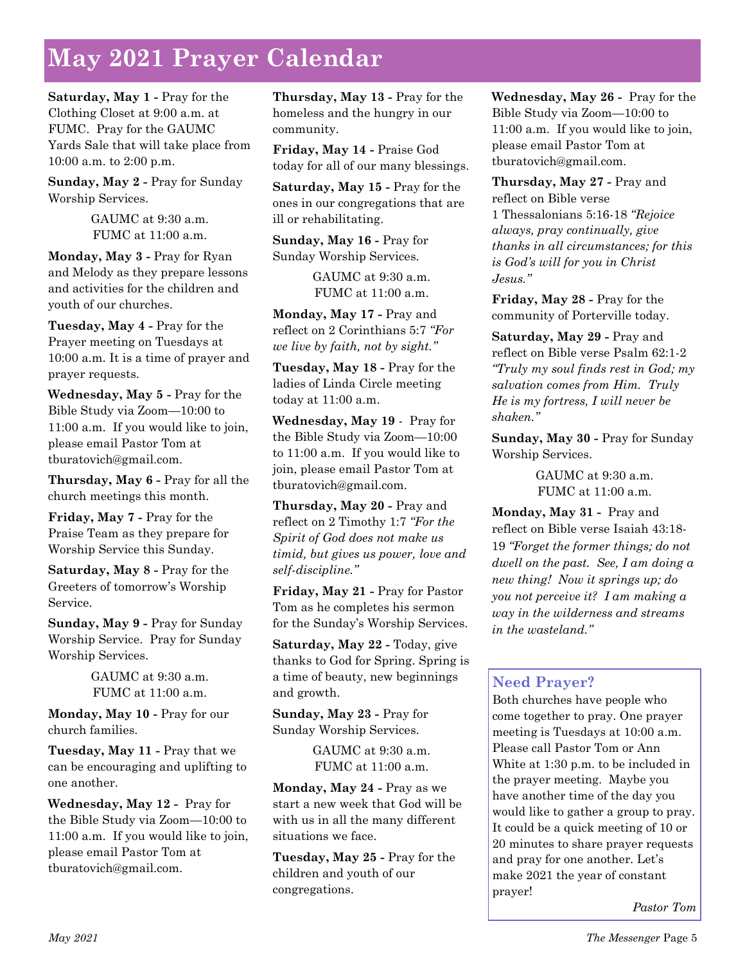## **May 2021 Prayer Calendar**

**Saturday, May 1 -** Pray for the Clothing Closet at 9:00 a.m. at FUMC. Pray for the GAUMC Yards Sale that will take place from 10:00 a.m. to 2:00 p.m.

**Sunday, May 2 -** Pray for Sunday Worship Services.

> GAUMC at 9:30 a.m. FUMC at 11:00 a.m.

**Monday, May 3 -** Pray for Ryan and Melody as they prepare lessons and activities for the children and youth of our churches.

**Tuesday, May 4 -** Pray for the Prayer meeting on Tuesdays at 10:00 a.m. It is a time of prayer and prayer requests.

**Wednesday, May 5 -** Pray for the Bible Study via Zoom—10:00 to 11:00 a.m. If you would like to join, please email Pastor Tom at tburatovich@gmail.com.

**Thursday, May 6 -** Pray for all the church meetings this month.

**Friday, May 7 -** Pray for the Praise Team as they prepare for Worship Service this Sunday.

**Saturday, May 8 -** Pray for the Greeters of tomorrow's Worship Service.

**Sunday, May 9 -** Pray for Sunday Worship Service. Pray for Sunday Worship Services.

> GAUMC at 9:30 a.m. FUMC at 11:00 a.m.

**Monday, May 10 -** Pray for our church families.

**Tuesday, May 11 -** Pray that we can be encouraging and uplifting to one another.

**Wednesday, May 12 -** Pray for the Bible Study via Zoom—10:00 to 11:00 a.m. If you would like to join, please email Pastor Tom at tburatovich@gmail.com.

**Thursday, May 13 -** Pray for the homeless and the hungry in our community.

**Friday, May 14 -** Praise God today for all of our many blessings.

**Saturday, May 15 -** Pray for the ones in our congregations that are ill or rehabilitating.

**Sunday, May 16 -** Pray for Sunday Worship Services.

> GAUMC at 9:30 a.m. FUMC at 11:00 a.m.

**Monday, May 17 -** Pray and reflect on 2 Corinthians 5:7 *"For we live by faith, not by sight."*

**Tuesday, May 18 -** Pray for the ladies of Linda Circle meeting today at 11:00 a.m.

**Wednesday, May 19** - Pray for the Bible Study via Zoom—10:00 to 11:00 a.m. If you would like to join, please email Pastor Tom at tburatovich@gmail.com.

**Thursday, May 20 -** Pray and reflect on 2 Timothy 1:7 *"For the Spirit of God does not make us timid, but gives us power, love and self-discipline."*

**Friday, May 21 -** Pray for Pastor Tom as he completes his sermon for the Sunday's Worship Services.

**Saturday, May 22 -** Today, give thanks to God for Spring. Spring is a time of beauty, new beginnings and growth.

**Sunday, May 23 -** Pray for Sunday Worship Services.

> GAUMC at 9:30 a.m. FUMC at 11:00 a.m.

**Monday, May 24 -** Pray as we start a new week that God will be with us in all the many different situations we face.

**Tuesday, May 25 -** Pray for the children and youth of our congregations.

**Wednesday, May 26 -** Pray for the Bible Study via Zoom—10:00 to 11:00 a.m. If you would like to join, please email Pastor Tom at tburatovich@gmail.com.

**Thursday, May 27 -** Pray and reflect on Bible verse 1 Thessalonians 5:16-18 *"Rejoice always, pray continually, give thanks in all circumstances; for this is God's will for you in Christ Jesus."*

**Friday, May 28 -** Pray for the community of Porterville today.

**Saturday, May 29 -** Pray and reflect on Bible verse Psalm 62:1-2 *"Truly my soul finds rest in God; my salvation comes from Him. Truly He is my fortress, I will never be shaken."*

**Sunday, May 30 -** Pray for Sunday Worship Services.

> GAUMC at 9:30 a.m. FUMC at 11:00 a.m.

**Monday, May 31 -** Pray and reflect on Bible verse Isaiah 43:18- 19 *"Forget the former things; do not dwell on the past. See, I am doing a new thing! Now it springs up; do you not perceive it? I am making a way in the wilderness and streams in the wasteland."*

#### **Need Prayer?**

Both churches have people who come together to pray. One prayer meeting is Tuesdays at 10:00 a.m. Please call Pastor Tom or Ann White at 1:30 p.m. to be included in the prayer meeting. Maybe you have another time of the day you would like to gather a group to pray. It could be a quick meeting of 10 or 20 minutes to share prayer requests and pray for one another. Let's make 2021 the year of constant prayer!

*Pastor Tom*